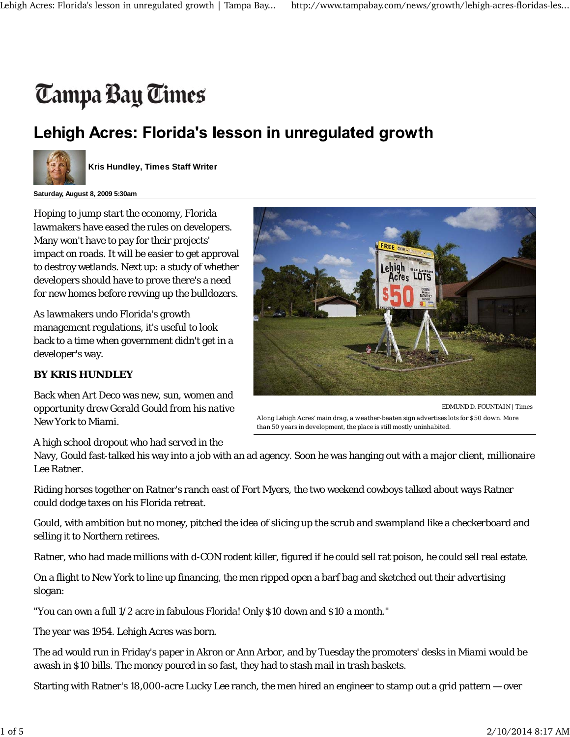## Tampa Bay Times

## Lehigh Acres: Florida's lesson in unregulated growth



**Kris Hundley, Times Staff Writer**

**Saturday, August 8, 2009 5:30am**

Hoping to jump start the economy, Florida lawmakers have eased the rules on developers. Many won't have to pay for their projects' impact on roads. It will be easier to get approval to destroy wetlands. Next up: a study of whether developers should have to prove there's a need for new homes before revving up the bulldozers.

As lawmakers undo Florida's growth management regulations, it's useful to look back to a time when government didn't get in a developer's way.

## **BY KRIS HUNDLEY**

Back when Art Deco was new, sun, women and opportunity drew Gerald Gould from his native New York to Miami.



EDMUND D. FOUNTAIN | Times *Along Lehigh Acres' main drag, a weather-beaten sign advertises lots for \$50 down. More than 50 years in development, the place is still mostly uninhabited.*

A high school dropout who had served in the

Navy, Gould fast-talked his way into a job with an ad agency. Soon he was hanging out with a major client, millionaire Lee Ratner.

Riding horses together on Ratner's ranch east of Fort Myers, the two weekend cowboys talked about ways Ratner could dodge taxes on his Florida retreat.

Gould, with ambition but no money, pitched the idea of slicing up the scrub and swampland like a checkerboard and selling it to Northern retirees.

Ratner, who had made millions with d-CON rodent killer, figured if he could sell rat poison, he could sell real estate.

On a flight to New York to line up financing, the men ripped open a barf bag and sketched out their advertising slogan:

"You can own a full 1/2 acre in fabulous Florida! Only \$10 down and \$10 a month."

The year was 1954. Lehigh Acres was born.

The ad would run in Friday's paper in Akron or Ann Arbor, and by Tuesday the promoters' desks in Miami would be awash in \$10 bills. The money poured in so fast, they had to stash mail in trash baskets.

Starting with Ratner's 18,000-acre Lucky Lee ranch, the men hired an engineer to stamp out a grid pattern — over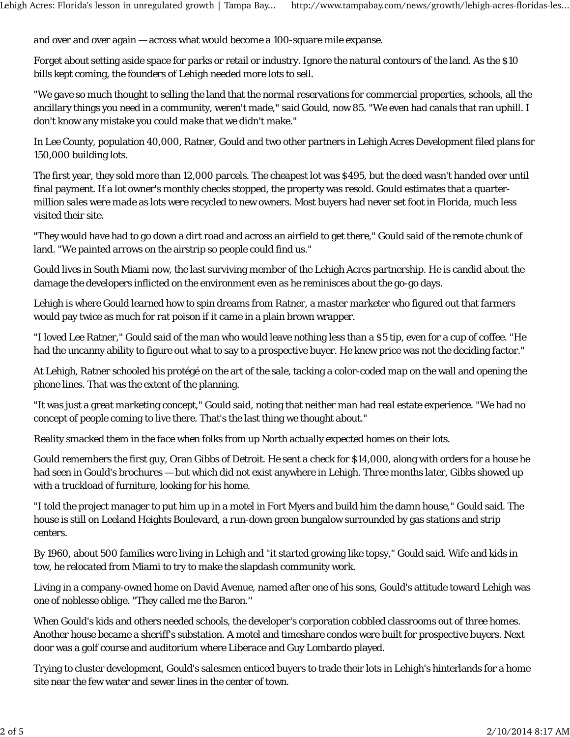and over and over again — across what would become a 100-square mile expanse.

Forget about setting aside space for parks or retail or industry. Ignore the natural contours of the land. As the \$10 bills kept coming, the founders of Lehigh needed more lots to sell.

"We gave so much thought to selling the land that the normal reservations for commercial properties, schools, all the ancillary things you need in a community, weren't made," said Gould, now 85. "We even had canals that ran uphill. I don't know any mistake you could make that we didn't make."

In Lee County, population 40,000, Ratner, Gould and two other partners in Lehigh Acres Development filed plans for 150,000 building lots.

The first year, they sold more than 12,000 parcels. The cheapest lot was \$495, but the deed wasn't handed over until final payment. If a lot owner's monthly checks stopped, the property was resold. Gould estimates that a quartermillion sales were made as lots were recycled to new owners. Most buyers had never set foot in Florida, much less visited their site.

"They would have had to go down a dirt road and across an airfield to get there," Gould said of the remote chunk of land. "We painted arrows on the airstrip so people could find us."

Gould lives in South Miami now, the last surviving member of the Lehigh Acres partnership. He is candid about the damage the developers inflicted on the environment even as he reminisces about the go-go days.

Lehigh is where Gould learned how to spin dreams from Ratner, a master marketer who figured out that farmers would pay twice as much for rat poison if it came in a plain brown wrapper.

"I loved Lee Ratner," Gould said of the man who would leave nothing less than a \$5 tip, even for a cup of coffee. "He had the uncanny ability to figure out what to say to a prospective buyer. He knew price was not the deciding factor."

At Lehigh, Ratner schooled his protégé on the art of the sale, tacking a color-coded map on the wall and opening the phone lines. That was the extent of the planning.

"It was just a great marketing concept," Gould said, noting that neither man had real estate experience. "We had no concept of people coming to live there. That's the last thing we thought about."

Reality smacked them in the face when folks from up North actually expected homes on their lots.

Gould remembers the first guy, Oran Gibbs of Detroit. He sent a check for \$14,000, along with orders for a house he had seen in Gould's brochures — but which did not exist anywhere in Lehigh. Three months later, Gibbs showed up with a truckload of furniture, looking for his home.

"I told the project manager to put him up in a motel in Fort Myers and build him the damn house," Gould said. The house is still on Leeland Heights Boulevard, a run-down green bungalow surrounded by gas stations and strip centers.

By 1960, about 500 families were living in Lehigh and "it started growing like topsy," Gould said. Wife and kids in tow, he relocated from Miami to try to make the slapdash community work.

Living in a company-owned home on David Avenue, named after one of his sons, Gould's attitude toward Lehigh was one of *noblesse oblige*. "They called me the Baron.''

When Gould's kids and others needed schools, the developer's corporation cobbled classrooms out of three homes. Another house became a sheriff's substation. A motel and timeshare condos were built for prospective buyers. Next door was a golf course and auditorium where Liberace and Guy Lombardo played.

Trying to cluster development, Gould's salesmen enticed buyers to trade their lots in Lehigh's hinterlands for a home site near the few water and sewer lines in the center of town.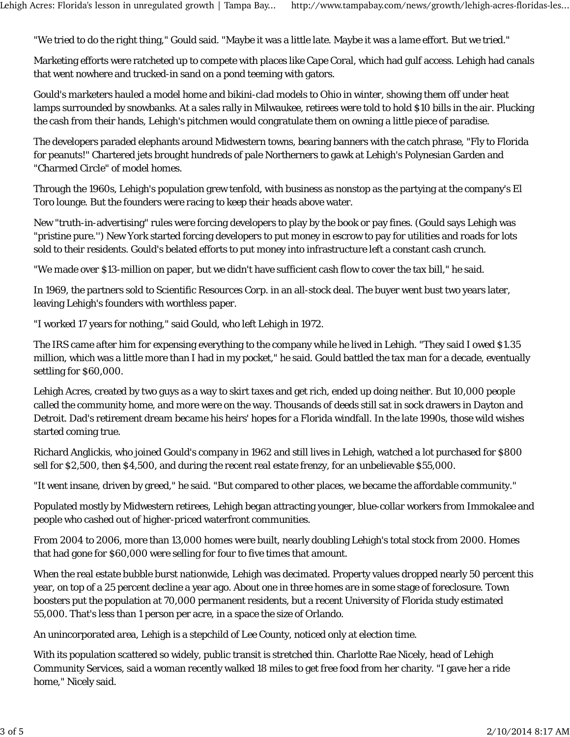"We tried to do the right thing," Gould said. "Maybe it was a little late. Maybe it was a lame effort. But we tried."

Marketing efforts were ratcheted up to compete with places like Cape Coral, which had gulf access. Lehigh had canals that went nowhere and trucked-in sand on a pond teeming with gators.

Gould's marketers hauled a model home and bikini-clad models to Ohio in winter, showing them off under heat lamps surrounded by snowbanks. At a sales rally in Milwaukee, retirees were told to hold \$10 bills in the air. Plucking the cash from their hands, Lehigh's pitchmen would congratulate them on owning a little piece of paradise.

The developers paraded elephants around Midwestern towns, bearing banners with the catch phrase, "Fly to Florida for peanuts!" Chartered jets brought hundreds of pale Northerners to gawk at Lehigh's Polynesian Garden and "Charmed Circle" of model homes.

Through the 1960s, Lehigh's population grew tenfold, with business as nonstop as the partying at the company's El Toro lounge. But the founders were racing to keep their heads above water.

New "truth-in-advertising" rules were forcing developers to play by the book or pay fines. (Gould says Lehigh was "pristine pure.'') New York started forcing developers to put money in escrow to pay for utilities and roads for lots sold to their residents. Gould's belated efforts to put money into infrastructure left a constant cash crunch.

"We made over \$13-million on paper, but we didn't have sufficient cash flow to cover the tax bill," he said.

In 1969, the partners sold to Scientific Resources Corp. in an all-stock deal. The buyer went bust two years later, leaving Lehigh's founders with worthless paper.

"I worked 17 years for nothing," said Gould, who left Lehigh in 1972.

The IRS came after him for expensing everything to the company while he lived in Lehigh. "They said I owed \$1.35 million, which was a little more than I had in my pocket," he said. Gould battled the tax man for a decade, eventually settling for \$60,000.

Lehigh Acres, created by two guys as a way to skirt taxes and get rich, ended up doing neither. But 10,000 people called the community home, and more were on the way. Thousands of deeds still sat in sock drawers in Dayton and Detroit. Dad's retirement dream became his heirs' hopes for a Florida windfall. In the late 1990s, those wild wishes started coming true.

Richard Anglickis, who joined Gould's company in 1962 and still lives in Lehigh, watched a lot purchased for \$800 sell for \$2,500, then \$4,500, and during the recent real estate frenzy, for an unbelievable \$55,000.

"It went insane, driven by greed," he said. "But compared to other places, we became the affordable community."

Populated mostly by Midwestern retirees, Lehigh began attracting younger, blue-collar workers from Immokalee and people who cashed out of higher-priced waterfront communities.

From 2004 to 2006, more than 13,000 homes were built, nearly doubling Lehigh's total stock from 2000. Homes that had gone for \$60,000 were selling for four to five times that amount.

When the real estate bubble burst nationwide, Lehigh was decimated. Property values dropped nearly 50 percent this year, on top of a 25 percent decline a year ago. About one in three homes are in some stage of foreclosure. Town boosters put the population at 70,000 permanent residents, but a recent University of Florida study estimated 55,000. That's less than 1 person per acre, in a space the size of Orlando.

An unincorporated area, Lehigh is a stepchild of Lee County, noticed only at election time.

With its population scattered so widely, public transit is stretched thin. Charlotte Rae Nicely, head of Lehigh Community Services, said a woman recently walked 18 miles to get free food from her charity. "I gave her a ride home," Nicely said.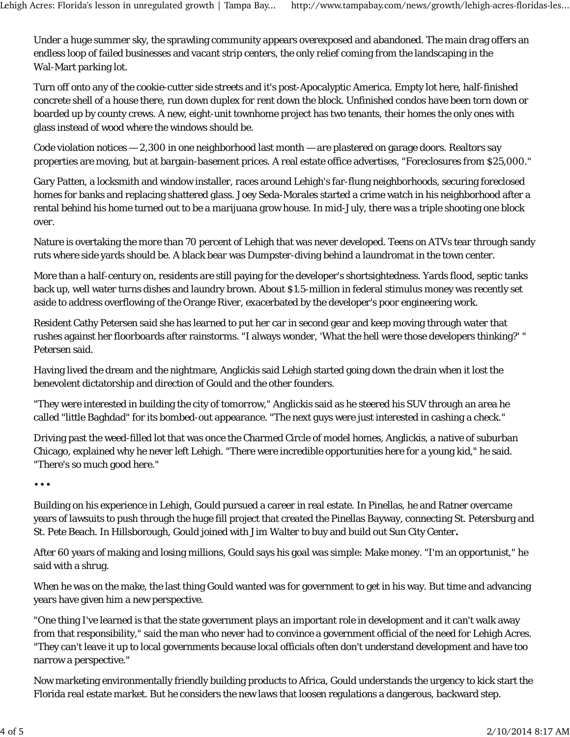Under a huge summer sky, the sprawling community appears overexposed and abandoned. The main drag offers an endless loop of failed businesses and vacant strip centers, the only relief coming from the landscaping in the Wal-Mart parking lot.

Turn off onto any of the cookie-cutter side streets and it's post-Apocalyptic America. Empty lot here, half-finished concrete shell of a house there, run down duplex for rent down the block. Unfinished condos have been torn down or boarded up by county crews. A new, eight-unit townhome project has two tenants, their homes the only ones with glass instead of wood where the windows should be.

Code violation notices — 2,300 in one neighborhood last month — are plastered on garage doors. Realtors say properties are moving, but at bargain-basement prices. A real estate office advertises, "Foreclosures from \$25,000."

Gary Patten, a locksmith and window installer, races around Lehigh's far-flung neighborhoods, securing foreclosed homes for banks and replacing shattered glass. Joey Seda-Morales started a crime watch in his neighborhood after a rental behind his home turned out to be a marijuana grow house. In mid-July, there was a triple shooting one block over.

Nature is overtaking the more than 70 percent of Lehigh that was never developed. Teens on ATVs tear through sandy ruts where side yards should be. A black bear was Dumpster-diving behind a laundromat in the town center.

More than a half-century on, residents are still paying for the developer's shortsightedness. Yards flood, septic tanks back up, well water turns dishes and laundry brown. About \$1.5-million in federal stimulus money was recently set aside to address overflowing of the Orange River, exacerbated by the developer's poor engineering work.

Resident Cathy Petersen said she has learned to put her car in second gear and keep moving through water that rushes against her floorboards after rainstorms. "I always wonder, 'What the hell were those developers thinking?' " Petersen said.

Having lived the dream and the nightmare, Anglickis said Lehigh started going down the drain when it lost the benevolent dictatorship and direction of Gould and the other founders.

"They were interested in building the city of tomorrow," Anglickis said as he steered his SUV through an area he called "little Baghdad" for its bombed-out appearance. "The next guys were just interested in cashing a check."

Driving past the weed-filled lot that was once the Charmed Circle of model homes, Anglickis, a native of suburban Chicago, explained why he never left Lehigh. "There were incredible opportunities here for a young kid," he said. "There's so much good here."

• • •

Building on his experience in Lehigh, Gould pursued a career in real estate. In Pinellas, he and Ratner overcame years of lawsuits to push through the huge fill project that created the Pinellas Bayway, connecting St. Petersburg and St. Pete Beach. In Hillsborough, Gould joined with Jim Walter to buy and build out Sun City Center**.**

After 60 years of making and losing millions, Gould says his goal was simple: Make money. "I'm an opportunist," he said with a shrug.

When he was on the make, the last thing Gould wanted was for government to get in his way. But time and advancing years have given him a new perspective.

"One thing I've learned is that the state government plays an important role in development and it can't walk away from that responsibility," said the man who never had to convince a government official of the need for Lehigh Acres. "They can't leave it up to local governments because local officials often don't understand development and have too narrow a perspective."

Now marketing environmentally friendly building products to Africa, Gould understands the urgency to kick start the Florida real estate market. But he considers the new laws that loosen regulations a dangerous, backward step.